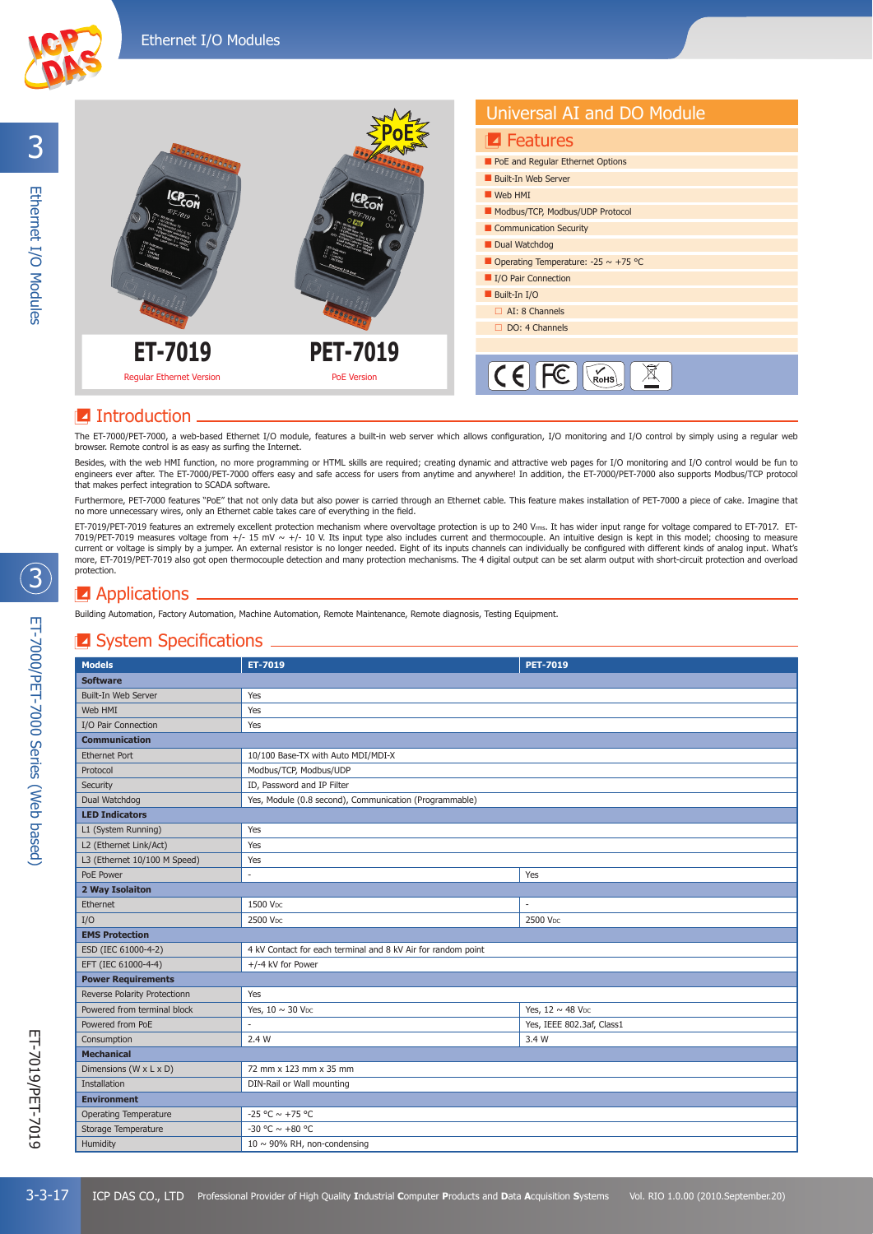

# **Z** Introduction

The ET-7000/PET-7000, a web-based Ethernet I/O module, features a built-in web server which allows configuration, I/O monitoring and I/O control by simply using a regular web browser. Remote control is as easy as surfing the Internet.

Besides, with the web HMI function, no more programming or HTML skills are required; creating dynamic and attractive web pages for I/O monitoring and I/O control would be fun to engineers ever after. The ET-7000/PET-7000 offers easy and safe access for users from anytime and anywhere! In addition, the ET-7000/PET-7000 also supports Modbus/TCP protocol that makes perfect integration to SCADA software.

Furthermore, PET-7000 features "PoE" that not only data but also power is carried through an Ethernet cable. This feature makes installation of PET-7000 a piece of cake. Imagine that no more unnecessary wires, only an Ethernet cable takes care of everything in the field.

ET-7019/PET-7019 features an extremely excellent protection mechanism where overvoltage protection is up to 240 Vms. It has wider input range for voltage compared to ET-7017. ET-7019/PET-7019 measures voltage from +/- 15 mV ~ +/- 10 V. Its input type also includes current and thermocouple. An intuitive design is kept in this model; choosing to measure<br>current or voltage is simply by a jumper. An e emore, ET-7019/PET-7019 also got open thermocouple detection and many protection mechanisms. The 4 digital output can be set alarm output with short-circuit protection and overload many protection and many protection mecha protection.

# **E** Applications <sub>-</sub>

Building Automation, Factory Automation, Machine Automation, Remote Maintenance, Remote diagnosis, Testing Equipment.

# $\blacksquare$  System Specifications  $\blacksquare$

| <b>Models</b>                | ET-7019                                                      | <b>PET-7019</b>                   |  |  |
|------------------------------|--------------------------------------------------------------|-----------------------------------|--|--|
| <b>Software</b>              |                                                              |                                   |  |  |
| Built-In Web Server          | Yes                                                          |                                   |  |  |
| Web HMI                      | Yes                                                          |                                   |  |  |
| I/O Pair Connection          | Yes                                                          |                                   |  |  |
| <b>Communication</b>         |                                                              |                                   |  |  |
| <b>Ethernet Port</b>         | 10/100 Base-TX with Auto MDI/MDI-X                           |                                   |  |  |
| Protocol                     | Modbus/TCP, Modbus/UDP                                       |                                   |  |  |
| Security                     | ID, Password and IP Filter                                   |                                   |  |  |
| Dual Watchdog                | Yes, Module (0.8 second), Communication (Programmable)       |                                   |  |  |
| <b>LED Indicators</b>        |                                                              |                                   |  |  |
| L1 (System Running)          | Yes                                                          |                                   |  |  |
| L2 (Ethernet Link/Act)       | Yes                                                          |                                   |  |  |
| L3 (Ethernet 10/100 M Speed) | Yes                                                          |                                   |  |  |
| PoE Power                    |                                                              | Yes                               |  |  |
| 2 Way Isolaiton              |                                                              |                                   |  |  |
| Ethernet                     | 1500 Vpc                                                     |                                   |  |  |
| I/O                          | 2500 Vpc                                                     | 2500 Vpc                          |  |  |
| <b>EMS Protection</b>        |                                                              |                                   |  |  |
| ESD (IEC 61000-4-2)          | 4 kV Contact for each terminal and 8 kV Air for random point |                                   |  |  |
| EFT (IEC 61000-4-4)          | +/-4 kV for Power                                            |                                   |  |  |
| <b>Power Requirements</b>    |                                                              |                                   |  |  |
| Reverse Polarity Protectionn | Yes                                                          |                                   |  |  |
| Powered from terminal block  | Yes, $10 \sim 30$ V <sub>DC</sub>                            | Yes, $12 \sim 48$ V <sub>DC</sub> |  |  |
| Powered from PoE             |                                                              | Yes, IEEE 802.3af, Class1         |  |  |
| Consumption                  | 2.4 W                                                        | 3.4 W                             |  |  |
| <b>Mechanical</b>            |                                                              |                                   |  |  |
| Dimensions (W x L x D)       | 72 mm x 123 mm x 35 mm                                       |                                   |  |  |
| Installation                 | DIN-Rail or Wall mounting                                    |                                   |  |  |
| <b>Environment</b>           |                                                              |                                   |  |  |
| <b>Operating Temperature</b> | -25 °C $\sim$ +75 °C                                         |                                   |  |  |
| Storage Temperature          | -30 °C $\sim$ +80 °C                                         |                                   |  |  |
| Humidity                     | 10 $\sim$ 90% RH, non-condensing                             |                                   |  |  |

 $\bigcirc$